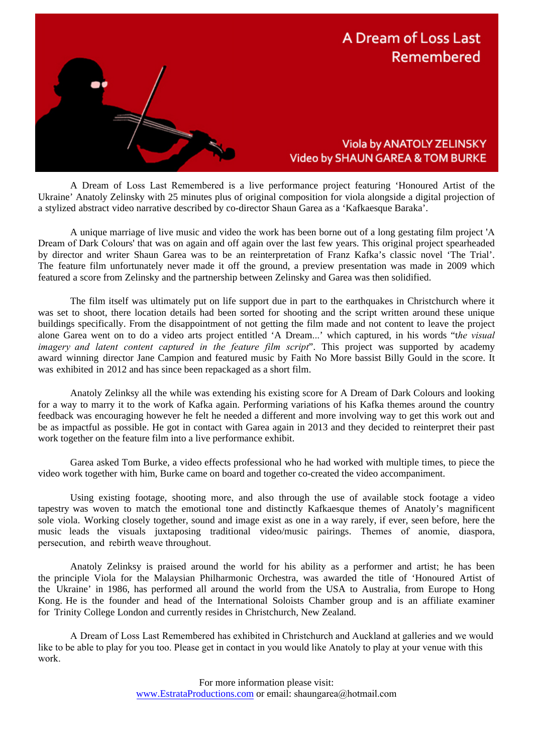

A Dream of Loss Last Remembered is a live performance project featuring 'Honoured Artist of the Ukraine' Anatoly Zelinsky with 25 minutes plus of original composition for viola alongside a digital projection of a stylized abstract video narrative described by co-director Shaun Garea as a 'Kafkaesque Baraka'.

A unique marriage of live music and video the work has been borne out of a long gestating film project 'A Dream of Dark Colours' that was on again and off again over the last few years. This original project spearheaded by director and writer Shaun Garea was to be an reinterpretation of Franz Kafka's classic novel 'The Trial'. The feature film unfortunately never made it off the ground, a preview presentation was made in 2009 which featured a score from Zelinsky and the partnership between Zelinsky and Garea was then solidified.

The film itself was ultimately put on life support due in part to the earthquakes in Christchurch where it was set to shoot, there location details had been sorted for shooting and the script written around these unique buildings specifically. From the disappointment of not getting the film made and not content to leave the project alone Garea went on to do a video arts project entitled 'A Dream...' which captured, in his words "t*he visual imagery and latent content captured in the feature film script*". This project was supported by academy award winning director Jane Campion and featured music by Faith No More bassist Billy Gould in the score. It was exhibited in 2012 and has since been repackaged as a short film.

Anatoly Zelinksy all the while was extending his existing score for A Dream of Dark Colours and looking for a way to marry it to the work of Kafka again. Performing variations of his Kafka themes around the country feedback was encouraging however he felt he needed a different and more involving way to get this work out and be as impactful as possible. He got in contact with Garea again in 2013 and they decided to reinterpret their past work together on the feature film into a live performance exhibit.

Garea asked Tom Burke, a video effects professional who he had worked with multiple times, to piece the video work together with him, Burke came on board and together co-created the video accompaniment.

Using existing footage, shooting more, and also through the use of available stock footage a video tapestry was woven to match the emotional tone and distinctly Kafkaesque themes of Anatoly's magnificent sole viola. Working closely together, sound and image exist as one in a way rarely, if ever, seen before, here the music leads the visuals juxtaposing traditional video/music pairings. Themes of anomie, diaspora, persecution, and rebirth weave throughout.

Anatoly Zelinksy is praised around the world for his ability as a performer and artist; he has been the principle Viola for the Malaysian Philharmonic Orchestra, was awarded the title of 'Honoured Artist of the Ukraine' in 1986, has performed all around the world from the USA to Australia, from Europe to Hong Kong. He is the founder and head of the International Soloists Chamber group and is an affiliate examiner for Trinity College London and currently resides in Christchurch, New Zealand.

A Dream of Loss Last Remembered has exhibited in Christchurch and Auckland at galleries and we would like to be able to play for you too. Please get in contact in you would like Anatoly to play at your venue with this work.

> For more information please visit: www.EstrataProductions.com or email: shaungarea@hotmail.com